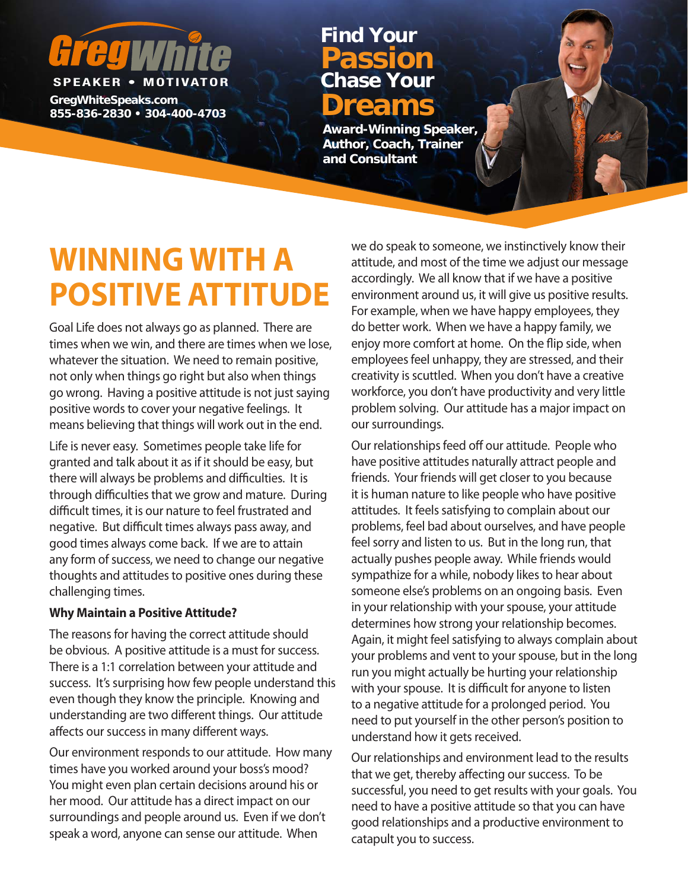# **SPEAKER • MOTIVATOR**

**GregWhiteSpeaks.com 855-836-2830 • 304-400-4703 Dreams**

## **Chase Your Passion Find Your**

**Award-Winning Speaker, Author, Coach, Trainer and Consultant**

# **WINNING WITH A POSITIVE ATTITUDE**

Goal Life does not always go as planned. There are times when we win, and there are times when we lose, whatever the situation. We need to remain positive, not only when things go right but also when things go wrong. Having a positive attitude is not just saying positive words to cover your negative feelings. It means believing that things will work out in the end.

Life is never easy. Sometimes people take life for granted and talk about it as if it should be easy, but there will always be problems and difficulties. It is through difficulties that we grow and mature. During difficult times, it is our nature to feel frustrated and negative. But difficult times always pass away, and good times always come back. If we are to attain any form of success, we need to change our negative thoughts and attitudes to positive ones during these challenging times.

#### **Why Maintain a Positive Attitude?**

The reasons for having the correct attitude should be obvious. A positive attitude is a must for success. There is a 1:1 correlation between your attitude and success. It's surprising how few people understand this even though they know the principle. Knowing and understanding are two different things. Our attitude affects our success in many different ways.

Our environment responds to our attitude. How many times have you worked around your boss's mood? You might even plan certain decisions around his or her mood. Our attitude has a direct impact on our surroundings and people around us. Even if we don't speak a word, anyone can sense our attitude. When

we do speak to someone, we instinctively know their attitude, and most of the time we adjust our message accordingly. We all know that if we have a positive environment around us, it will give us positive results. For example, when we have happy employees, they do better work. When we have a happy family, we enjoy more comfort at home. On the flip side, when employees feel unhappy, they are stressed, and their creativity is scuttled. When you don't have a creative workforce, you don't have productivity and very little problem solving. Our attitude has a major impact on our surroundings.

Our relationships feed off our attitude. People who have positive attitudes naturally attract people and friends. Your friends will get closer to you because it is human nature to like people who have positive attitudes. It feels satisfying to complain about our problems, feel bad about ourselves, and have people feel sorry and listen to us. But in the long run, that actually pushes people away. While friends would sympathize for a while, nobody likes to hear about someone else's problems on an ongoing basis. Even in your relationship with your spouse, your attitude determines how strong your relationship becomes. Again, it might feel satisfying to always complain about your problems and vent to your spouse, but in the long run you might actually be hurting your relationship with your spouse. It is difficult for anyone to listen to a negative attitude for a prolonged period. You need to put yourself in the other person's position to understand how it gets received.

Our relationships and environment lead to the results that we get, thereby affecting our success. To be successful, you need to get results with your goals. You need to have a positive attitude so that you can have good relationships and a productive environment to catapult you to success.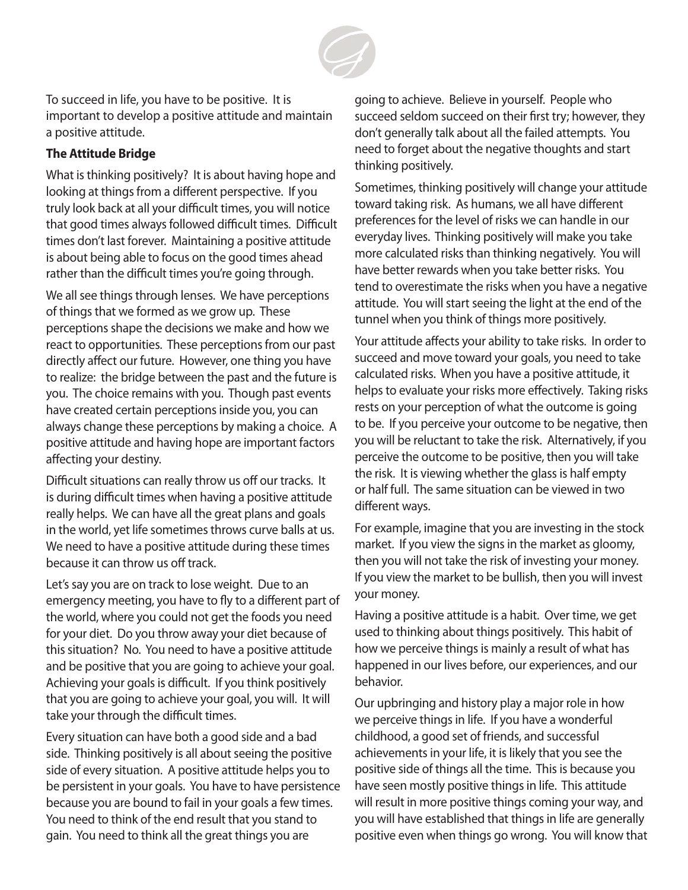

To succeed in life, you have to be positive. It is important to develop a positive attitude and maintain a positive attitude.

## **The Attitude Bridge**

What is thinking positively? It is about having hope and looking at things from a different perspective. If you truly look back at all your difficult times, you will notice that good times always followed difficult times. Difficult times don't last forever. Maintaining a positive attitude is about being able to focus on the good times ahead rather than the difficult times you're going through.

We all see things through lenses. We have perceptions of things that we formed as we grow up. These perceptions shape the decisions we make and how we react to opportunities. These perceptions from our past directly affect our future. However, one thing you have to realize: the bridge between the past and the future is you. The choice remains with you. Though past events have created certain perceptions inside you, you can always change these perceptions by making a choice. A positive attitude and having hope are important factors affecting your destiny.

Difficult situations can really throw us off our tracks. It is during difficult times when having a positive attitude really helps. We can have all the great plans and goals in the world, yet life sometimes throws curve balls at us. We need to have a positive attitude during these times because it can throw us off track.

Let's say you are on track to lose weight. Due to an emergency meeting, you have to fly to a different part of the world, where you could not get the foods you need for your diet. Do you throw away your diet because of this situation? No. You need to have a positive attitude and be positive that you are going to achieve your goal. Achieving your goals is difficult. If you think positively that you are going to achieve your goal, you will. It will take your through the difficult times.

Every situation can have both a good side and a bad side. Thinking positively is all about seeing the positive side of every situation. A positive attitude helps you to be persistent in your goals. You have to have persistence because you are bound to fail in your goals a few times. You need to think of the end result that you stand to gain. You need to think all the great things you are

going to achieve. Believe in yourself. People who succeed seldom succeed on their first try; however, they don't generally talk about all the failed attempts. You need to forget about the negative thoughts and start thinking positively.

Sometimes, thinking positively will change your attitude toward taking risk. As humans, we all have different preferences for the level of risks we can handle in our everyday lives. Thinking positively will make you take more calculated risks than thinking negatively. You will have better rewards when you take better risks. You tend to overestimate the risks when you have a negative attitude. You will start seeing the light at the end of the tunnel when you think of things more positively.

Your attitude affects your ability to take risks. In order to succeed and move toward your goals, you need to take calculated risks. When you have a positive attitude, it helps to evaluate your risks more effectively. Taking risks rests on your perception of what the outcome is going to be. If you perceive your outcome to be negative, then you will be reluctant to take the risk. Alternatively, if you perceive the outcome to be positive, then you will take the risk. It is viewing whether the glass is half empty or half full. The same situation can be viewed in two different ways.

For example, imagine that you are investing in the stock market. If you view the signs in the market as gloomy, then you will not take the risk of investing your money. If you view the market to be bullish, then you will invest your money.

Having a positive attitude is a habit. Over time, we get used to thinking about things positively. This habit of how we perceive things is mainly a result of what has happened in our lives before, our experiences, and our behavior.

Our upbringing and history play a major role in how we perceive things in life. If you have a wonderful childhood, a good set of friends, and successful achievements in your life, it is likely that you see the positive side of things all the time. This is because you have seen mostly positive things in life. This attitude will result in more positive things coming your way, and you will have established that things in life are generally positive even when things go wrong. You will know that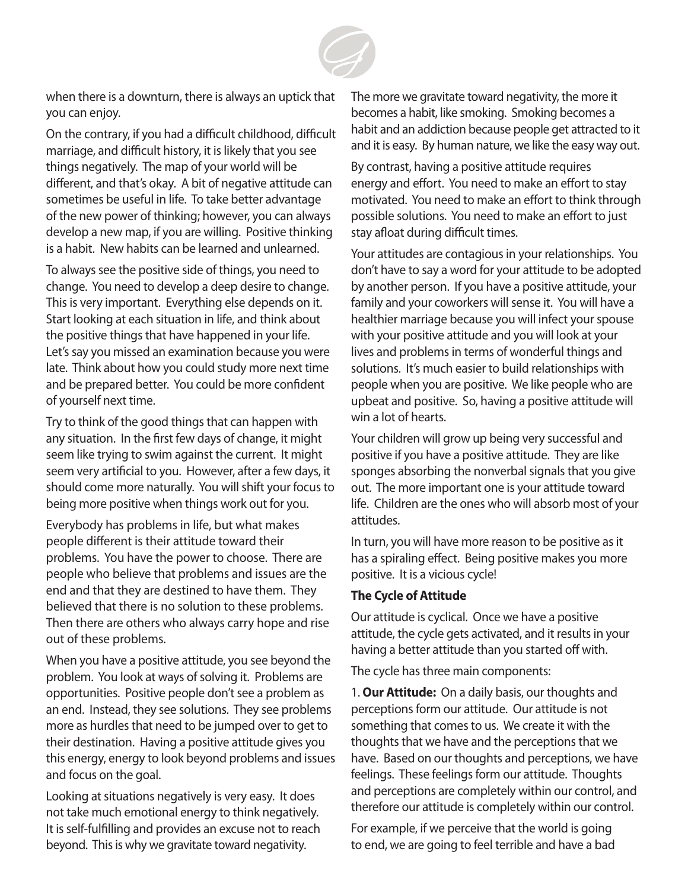

when there is a downturn, there is always an uptick that you can enjoy.

On the contrary, if you had a difficult childhood, difficult marriage, and difficult history, it is likely that you see things negatively. The map of your world will be different, and that's okay. A bit of negative attitude can sometimes be useful in life. To take better advantage of the new power of thinking; however, you can always develop a new map, if you are willing. Positive thinking is a habit. New habits can be learned and unlearned.

To always see the positive side of things, you need to change. You need to develop a deep desire to change. This is very important. Everything else depends on it. Start looking at each situation in life, and think about the positive things that have happened in your life. Let's say you missed an examination because you were late. Think about how you could study more next time and be prepared better. You could be more confident of yourself next time.

Try to think of the good things that can happen with any situation. In the first few days of change, it might seem like trying to swim against the current. It might seem very artificial to you. However, after a few days, it should come more naturally. You will shift your focus to being more positive when things work out for you.

Everybody has problems in life, but what makes people different is their attitude toward their problems. You have the power to choose. There are people who believe that problems and issues are the end and that they are destined to have them. They believed that there is no solution to these problems. Then there are others who always carry hope and rise out of these problems.

When you have a positive attitude, you see beyond the problem. You look at ways of solving it. Problems are opportunities. Positive people don't see a problem as an end. Instead, they see solutions. They see problems more as hurdles that need to be jumped over to get to their destination. Having a positive attitude gives you this energy, energy to look beyond problems and issues and focus on the goal.

Looking at situations negatively is very easy. It does not take much emotional energy to think negatively. It is self-fulfilling and provides an excuse not to reach beyond. This is why we gravitate toward negativity.

The more we gravitate toward negativity, the more it becomes a habit, like smoking. Smoking becomes a habit and an addiction because people get attracted to it and it is easy. By human nature, we like the easy way out.

By contrast, having a positive attitude requires energy and effort. You need to make an effort to stay motivated. You need to make an effort to think through possible solutions. You need to make an effort to just stay afloat during difficult times.

Your attitudes are contagious in your relationships. You don't have to say a word for your attitude to be adopted by another person. If you have a positive attitude, your family and your coworkers will sense it. You will have a healthier marriage because you will infect your spouse with your positive attitude and you will look at your lives and problems in terms of wonderful things and solutions. It's much easier to build relationships with people when you are positive. We like people who are upbeat and positive. So, having a positive attitude will win a lot of hearts.

Your children will grow up being very successful and positive if you have a positive attitude. They are like sponges absorbing the nonverbal signals that you give out. The more important one is your attitude toward life. Children are the ones who will absorb most of your attitudes.

In turn, you will have more reason to be positive as it has a spiraling effect. Being positive makes you more positive. It is a vicious cycle!

#### **The Cycle of Attitude**

Our attitude is cyclical. Once we have a positive attitude, the cycle gets activated, and it results in your having a better attitude than you started off with.

The cycle has three main components:

1. **Our Attitude:** On a daily basis, our thoughts and perceptions form our attitude. Our attitude is not something that comes to us. We create it with the thoughts that we have and the perceptions that we have. Based on our thoughts and perceptions, we have feelings. These feelings form our attitude. Thoughts and perceptions are completely within our control, and therefore our attitude is completely within our control.

For example, if we perceive that the world is going to end, we are going to feel terrible and have a bad